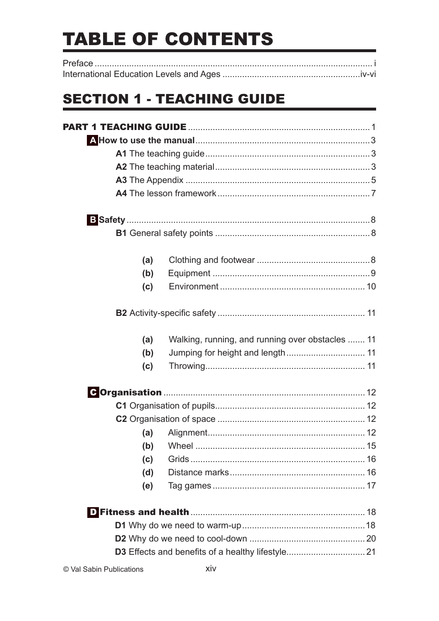# **TABLE OF CONTENTS**

# **SECTION 1 - TEACHING GUIDE**

| (a) |                                                  |  |
|-----|--------------------------------------------------|--|
| (b) |                                                  |  |
| (c) |                                                  |  |
|     |                                                  |  |
| (a) | Walking, running, and running over obstacles  11 |  |
| (b) |                                                  |  |
| (c) |                                                  |  |
|     |                                                  |  |
|     |                                                  |  |
|     |                                                  |  |
| (a) |                                                  |  |
|     |                                                  |  |
| (c) |                                                  |  |
| (d) |                                                  |  |
| (e) |                                                  |  |
|     |                                                  |  |
|     |                                                  |  |
|     |                                                  |  |
|     |                                                  |  |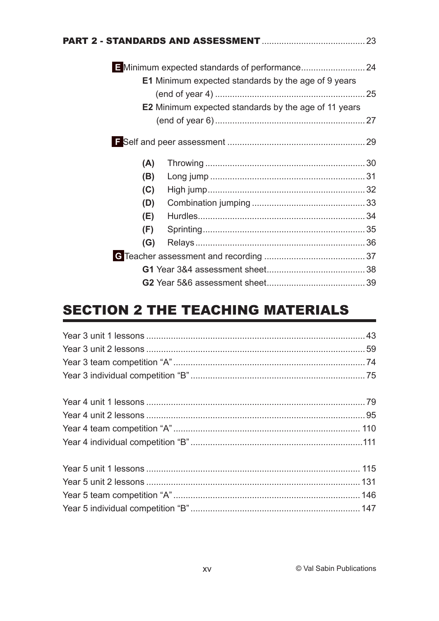|     | <b>E1</b> Minimum expected standards by the age of 9 years  |  |
|-----|-------------------------------------------------------------|--|
|     |                                                             |  |
|     | <b>E2</b> Minimum expected standards by the age of 11 years |  |
|     |                                                             |  |
|     |                                                             |  |
| (A) |                                                             |  |
| (B) |                                                             |  |
| (C) |                                                             |  |
| (D) |                                                             |  |
| (E) |                                                             |  |
| (F) |                                                             |  |
| (G) |                                                             |  |
|     |                                                             |  |
|     |                                                             |  |
|     |                                                             |  |

# **SECTION 2 THE TEACHING MATERIALS**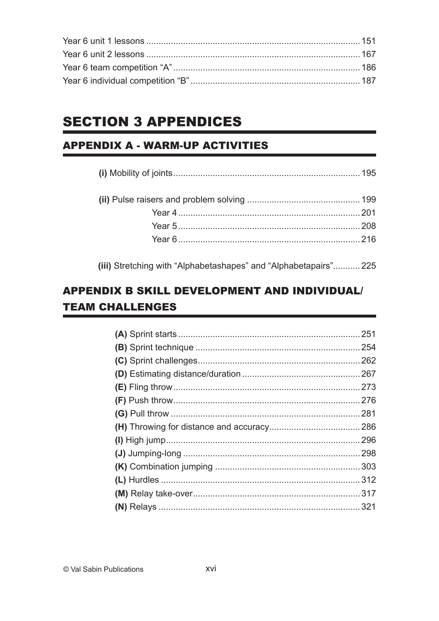## **SECTION 3 APPENDICES**

#### **APPENDIX A - WARM-UP ACTIVITIES**

(iii) Stretching with "Alphabetashapes" and "Alphabetapairs"........... 225

#### **APPENDIX B SKILL DEVELOPMENT AND INDIVIDUAL/ TEAM CHALLENGES**

| . 281 |
|-------|
|       |
|       |
|       |
|       |
|       |
|       |
|       |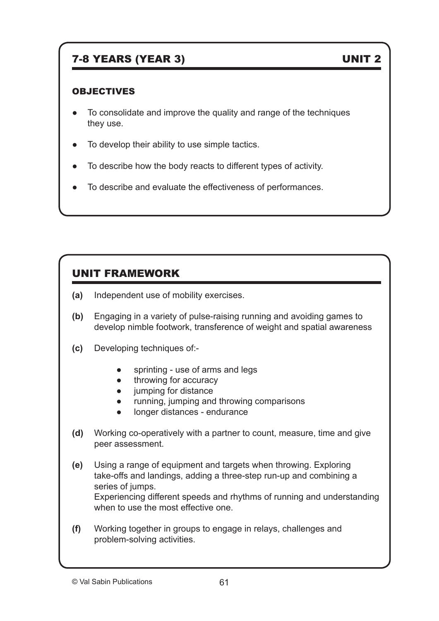### 7-8 YEARS (YEAR 3) UNIT 2

#### OBJECTIVES

- To consolidate and improve the quality and range of the techniques they use.
- To develop their ability to use simple tactics.
- To describe how the body reacts to different types of activity.
- To describe and evaluate the effectiveness of performances.

#### UNIT FRAMEWORK

- **(a)** Independent use of mobility exercises.
- **(b)** Engaging in a variety of pulse-raising running and avoiding games to develop nimble footwork, transference of weight and spatial awareness
- **(c)** Developing techniques of:-
	- sprinting use of arms and legs
	- throwing for accuracy
	- jumping for distance
	- running, jumping and throwing comparisons
	- longer distances endurance
- **(d)** Working co-operatively with a partner to count, measure, time and give peer assessment.
- **(e)** Using a range of equipment and targets when throwing. Exploring take-offs and landings, adding a three-step run-up and combining a series of jumps. Experiencing different speeds and rhythms of running and understanding when to use the most effective one.
- **(f)** Working together in groups to engage in relays, challenges and problem-solving activities.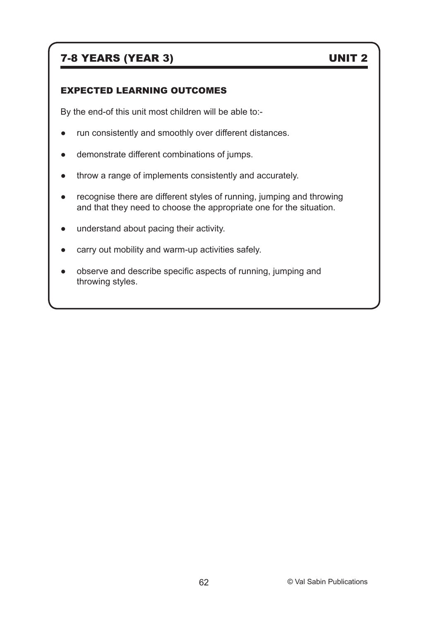#### 7-8 YEARS (YEAR 3) UNIT 2

#### EXPECTED LEARNING OUTCOMES

By the end-of this unit most children will be able to:-

- run consistently and smoothly over different distances.
- demonstrate different combinations of jumps.
- throw a range of implements consistently and accurately.
- recognise there are different styles of running, jumping and throwing and that they need to choose the appropriate one for the situation.
- understand about pacing their activity.
- carry out mobility and warm-up activities safely.
- observe and describe specific aspects of running, jumping and throwing styles.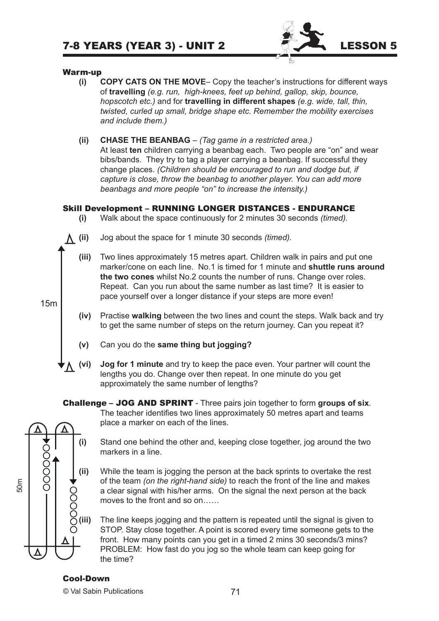

#### Warm-up

- **(i) COPY CATS ON THE MOVE** Copy the teacher's instructions for different ways of **travelling** *(e.g. run, high-knees, feet up behind, gallop, skip, bounce, hopscotch etc.)* and for **travelling in different shapes** *(e.g. wide, tall, thin, twisted, curled up small, bridge shape etc. Remember the mobility exercises and include them.)*
- **(ii) CHASE THE BEANBAG** *(Tag game in a restricted area.)* At least **ten** children carrying a beanbag each. Two people are "on" and wear bibs/bands. They try to tag a player carrying a beanbag. If successful they change places. *(Children should be encouraged to run and dodge but, if capture is close, throw the beanbag to another player. You can add more beanbags and more people "on" to increase the intensity.)*

#### Skill Development – RUNNING LONGER DISTANCES - ENDURANCE

- **(i)** Walk about the space continuously for 2 minutes 30 seconds *(timed).*
- 

15m

- **(ii)** Jog about the space for 1 minute 30 seconds *(timed).*
	- **(iii)** Two lines approximately 15 metres apart. Children walk in pairs and put one marker/cone on each line. No.1 is timed for 1 minute and **shuttle runs around the two cones** whilst No.2 counts the number of runs. Change over roles. Repeat. Can you run about the same number as last time? It is easier to pace yourself over a longer distance if your steps are more even!
	- **(iv)** Practise **walking** between the two lines and count the steps. Walk back and try to get the same number of steps on the return journey. Can you repeat it?
	- **(v)** Can you do the **same thing but jogging?**

place a marker on each of the lines.

**(vi) Jog for 1 minute** and try to keep the pace even. Your partner will count the lengths you do. Change over then repeat. In one minute do you get approximately the same number of lengths?

Challenge – JOG AND SPRINT - Three pairs join together to form **groups of six**.



**(i)** Stand one behind the other and, keeping close together, jog around the two markers in a line.

The teacher identifies two lines approximately 50 metres apart and teams

- **(ii)** While the team is jogging the person at the back sprints to overtake the rest of the team *(on the right-hand side)* to reach the front of the line and makes a clear signal with his/her arms. On the signal the next person at the back moves to the front and so on……
- **(iii)** The line keeps jogging and the pattern is repeated until the signal is given to STOP. Stay close together. A point is scored every time someone gets to the front. How many points can you get in a timed 2 mins 30 seconds/3 mins? PROBLEM: How fast do you jog so the whole team can keep going for the time?

#### Cool-Down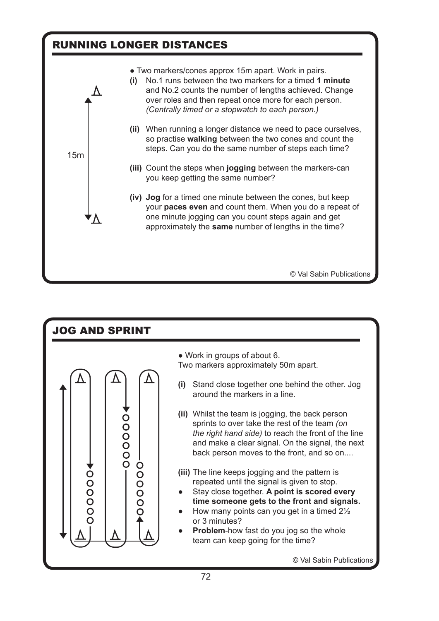

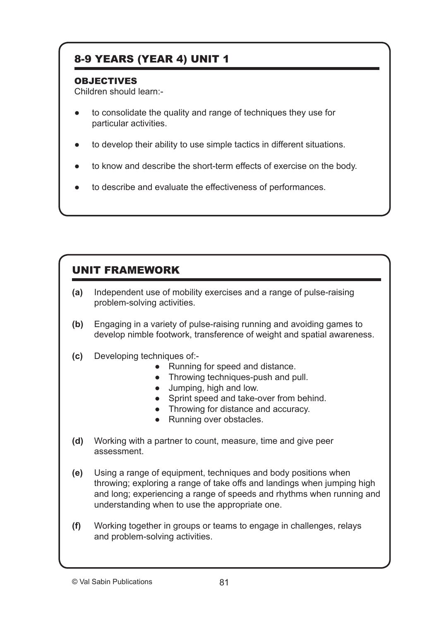#### 8-9 YEARS (YEAR 4) UNIT 1

#### **OBJECTIVES**

Children should learn:-

- to consolidate the quality and range of techniques they use for particular activities.
- to develop their ability to use simple tactics in different situations.
- to know and describe the short-term effects of exercise on the body.
- to describe and evaluate the effectiveness of performances.

#### UNIT FRAMEWORK

- **(a)** Independent use of mobility exercises and a range of pulse-raising problem-solving activities.
- **(b)** Engaging in a variety of pulse-raising running and avoiding games to develop nimble footwork, transference of weight and spatial awareness.
- **(c)** Developing techniques of:-
	- Running for speed and distance.
	- Throwing techniques-push and pull.
	- Jumping, high and low.
	- Sprint speed and take-over from behind.
	- Throwing for distance and accuracy.
	- Running over obstacles.
- **(d)** Working with a partner to count, measure, time and give peer assessment.
- **(e)** Using a range of equipment, techniques and body positions when throwing; exploring a range of take offs and landings when jumping high and long; experiencing a range of speeds and rhythms when running and understanding when to use the appropriate one.
- **(f)** Working together in groups or teams to engage in challenges, relays and problem-solving activities.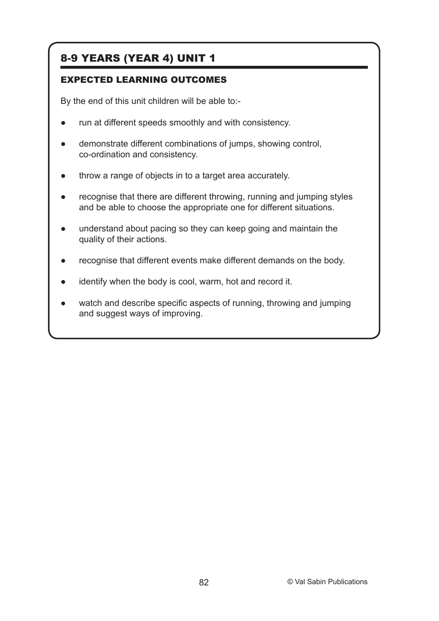#### 8-9 YEARS (YEAR 4) UNIT 1

#### EXPECTED LEARNING OUTCOMES

By the end of this unit children will be able to:-

- run at different speeds smoothly and with consistency.
- demonstrate different combinations of jumps, showing control, co-ordination and consistency.
- throw a range of objects in to a target area accurately.
- recognise that there are different throwing, running and jumping styles and be able to choose the appropriate one for different situations.
- understand about pacing so they can keep going and maintain the quality of their actions.
- recognise that different events make different demands on the body.
- identify when the body is cool, warm, hot and record it.
- watch and describe specific aspects of running, throwing and jumping and suggest ways of improving.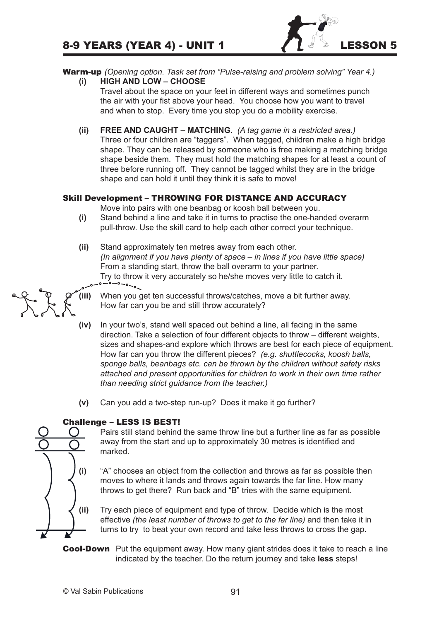

#### Warm-up *(Opening option. Task set from "Pulse-raising and problem solving" Year 4.)*

**(i) HIGH AND LOW – CHOOSE**

Travel about the space on your feet in different ways and sometimes punch the air with your fist above your head. You choose how you want to travel and when to stop. Every time you stop you do a mobility exercise.

**(ii) FREE AND CAUGHT – MATCHING**. *(A tag game in a restricted area.)* Three or four children are "taggers". When tagged, children make a high bridge shape. They can be released by someone who is free making a matching bridge shape beside them. They must hold the matching shapes for at least a count of three before running off. They cannot be tagged whilst they are in the bridge shape and can hold it until they think it is safe to move!

#### Skill Development – THROWING FOR DISTANCE AND ACCURACY

Move into pairs with one beanbag or koosh ball between you.

- **(i)** Stand behind a line and take it in turns to practise the one-handed overarm pull-throw. Use the skill card to help each other correct your technique.
- **(ii)** Stand approximately ten metres away from each other. *(In alignment if you have plenty of space – in lines if you have little space)* From a standing start, throw the ball overarm to your partner. Try to throw it very accurately so he/she moves very little to catch it.<br>  $\overline{C}$

- When you get ten successful throws/catches, move a bit further away. How far can you be and still throw accurately?
- **(iv)** In your two's, stand well spaced out behind a line, all facing in the same direction. Take a selection of four different objects to throw – different weights, sizes and shapes-and explore which throws are best for each piece of equipment. How far can you throw the different pieces? *(e.g. shuttlecocks, koosh balls, sponge balls, beanbags etc. can be thrown by the children without safety risks attached and present opportunities for children to work in their own time rather than needing strict guidance from the teacher.)*
- **(v)** Can you add a two-step run-up? Does it make it go further?

#### Challenge – LESS IS BEST!



Pairs still stand behind the same throw line but a further line as far as possible away from the start and up to approximately 30 metres is identified and marked.

- **(i)** "A" chooses an object from the collection and throws as far as possible then moves to where it lands and throws again towards the far line. How many throws to get there? Run back and "B" tries with the same equipment.
- **(ii)** Try each piece of equipment and type of throw. Decide which is the most effective *(the least number of throws to get to the far line)* and then take it in turns to try to beat your own record and take less throws to cross the gap.
- **Cool-Down** Put the equipment away. How many giant strides does it take to reach a line indicated by the teacher. Do the return journey and take **less** steps!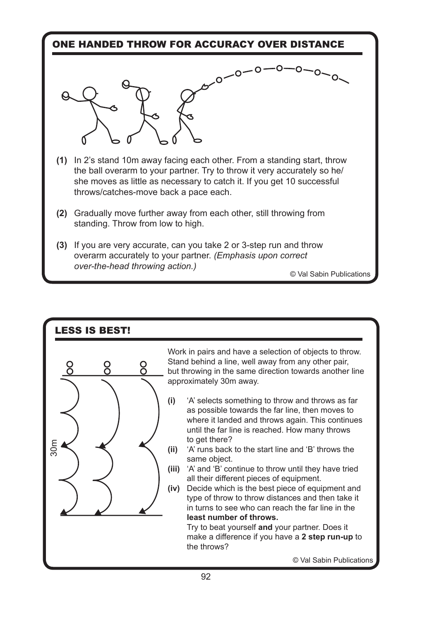#### ONE HANDED THROW FOR ACCURACY OVER DISTANCE



- **(1)** In 2's stand 10m away facing each other. From a standing start, throw the ball overarm to your partner. Try to throw it very accurately so he/ she moves as little as necessary to catch it. If you get 10 successful throws/catches-move back a pace each.
- **(2)** Gradually move further away from each other, still throwing from standing. Throw from low to high.
- **(3)** If you are very accurate, can you take 2 or 3-step run and throw overarm accurately to your partner. *(Emphasis upon correct over-the-head throwing action.)*

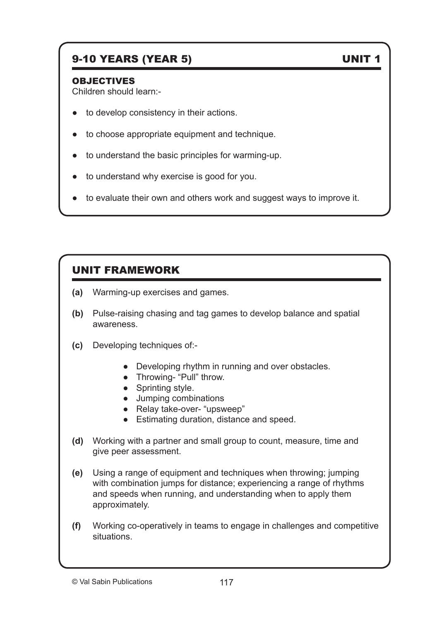#### 9-10 YEARS (YEAR 5) UNIT 1

#### OBJECTIVES

Children should learn:-

- to develop consistency in their actions.
- to choose appropriate equipment and technique.
- to understand the basic principles for warming-up.
- to understand why exercise is good for you.
- to evaluate their own and others work and suggest ways to improve it.

#### UNIT FRAMEWORK

- **(a)** Warming-up exercises and games.
- **(b)** Pulse-raising chasing and tag games to develop balance and spatial awareness.
- **(c)** Developing techniques of:-
	- Developing rhythm in running and over obstacles.
	- Throwing- "Pull" throw.
	- Sprinting style.
	- Jumping combinations
	- Relay take-over- "upsweep"
	- Estimating duration, distance and speed.
- **(d)** Working with a partner and small group to count, measure, time and give peer assessment.
- **(e)** Using a range of equipment and techniques when throwing; jumping with combination jumps for distance; experiencing a range of rhythms and speeds when running, and understanding when to apply them approximately.
- **(f)** Working co-operatively in teams to engage in challenges and competitive situations.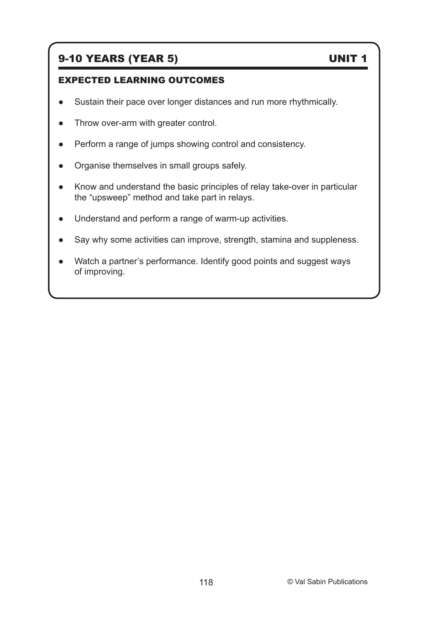#### 9-10 YEARS (YEAR 5) UNIT 1

#### EXPECTED LEARNING OUTCOMES

- Sustain their pace over longer distances and run more rhythmically.
- Throw over-arm with greater control.
- Perform a range of jumps showing control and consistency.
- Organise themselves in small groups safely.
- Know and understand the basic principles of relay take-over in particular the "upsweep" method and take part in relays.
- Understand and perform a range of warm-up activities.
- Say why some activities can improve, strength, stamina and suppleness.
- Watch a partner's performance. Identify good points and suggest ways of improving.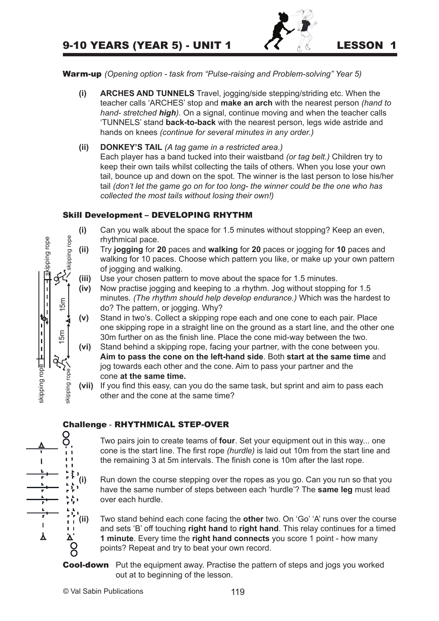#### 9-10 YEARS (YEAR 5) - UNIT 1  $\left\{\left\{\right\}\right\}$  ( $\left\{\right\}$  LESSON 1



Warm-up *(Opening option - task from "Pulse-raising and Problem-solving" Year 5)*

- **(i) ARCHES AND TUNNELS** Travel, jogging/side stepping/striding etc. When the teacher calls 'ARCHES' stop and **make an arch** with the nearest person *(hand to hand- stretched high)*. On a signal, continue moving and when the teacher calls 'TUNNELS' stand **back-to-back** with the nearest person, legs wide astride and hands on knees *(continue for several minutes in any order.)*
- **(ii) DONKEY'S TAIL** *(A tag game in a restricted area.)* Each player has a band tucked into their waistband *(or tag belt.)* Children try to keep their own tails whilst collecting the tails of others. When you lose your own tail, bounce up and down on the spot. The winner is the last person to lose his/her tail *(don't let the game go on for too long- the winner could be the one who has collected the most tails without losing their own!)*

#### Skill Development – DEVELOPING RHYTHM

- **(i)** Can you walk about the space for 1.5 minutes without stopping? Keep an even, rhythmical pace.
- **(ii)** Try **jogging** for **20** paces and **walking** for **20** paces or jogging for **10** paces and walking for 10 paces. Choose which pattern you like, or make up your own pattern of jogging and walking.
- **(iii)** Use your chosen pattern to move about the space for 1.5 minutes.
- **(iv)** Now practise jogging and keeping to .a rhythm. Jog without stopping for 1.5 minutes. *(The rhythm should help develop endurance.)* Which was the hardest to do? The pattern, or jogging. Why?
- **(v)** Stand in two's. Collect a skipping rope each and one cone to each pair. Place one skipping rope in a straight line on the ground as a start line, and the other one 30m further on as the finish line. Place the cone mid-way between the two.
- **(vi)** Stand behind a skipping rope, facing your partner, with the cone between you. **Aim to pass the cone on the left-hand side**. Both **start at the same time** and jog towards each other and the cone. Aim to pass your partner and the cone **at the same time.**
- **(vii)** If you find this easy, can you do the same task, but sprint and aim to pass each other and the cone at the same time?

#### Challenge - RHYTHMICAL STEP-OVER



**(i)** Run down the course stepping over the ropes as you go. Can you run so that you have the same number of steps between each 'hurdle'? The **same leg** must lead over each hurdle.

**(ii)** Two stand behind each cone facing the **other** two. On 'Go' 'A' runs over the course and sets 'B' off touching **right hand** to **right hand**. This relay continues for a timed **1 1 minute**. Every time the **right hand connects** you score 1 point - how many points? Repeat and try to beat your own record. points? Repeat and try to beat your own record.

**Cool-down** Put the equipment away. Practise the pattern of steps and jogs you worked out at to beginning of the lesson.



skipping rope  $\frac{\overline{p-1}+\overline{p-1}}{\overline{p-1}+\overline{p-1}}$  skipping rope

skipping rope

**Skipping rope** 

15m 15m

 $15m$ 

 $15m$ 

skipping rope

skipping

rope

skipping rope

skipping rope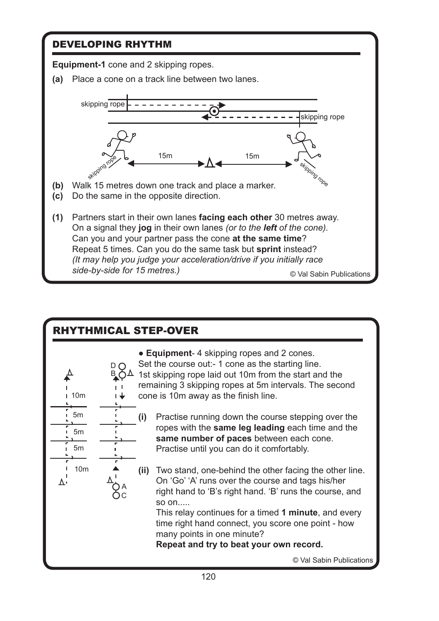# DEVELOPING RHYTHM **Equipment-1** cone and 2 skipping ropes. **(a)** Place a cone on a track line between two lanes. skipping rope



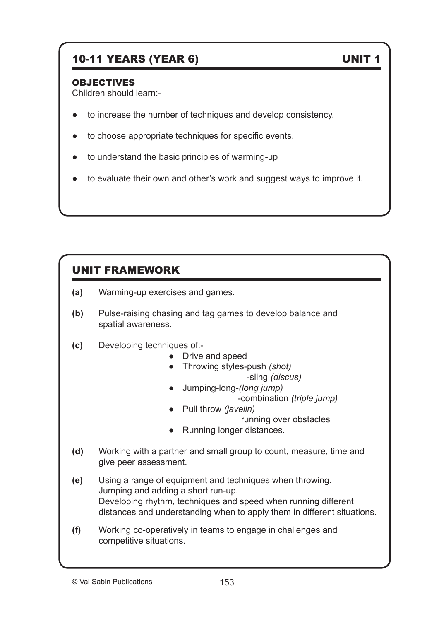#### 10-11 YEARS (YEAR 6) UNIT 1

#### OBJECTIVES

Children should learn:-

- to increase the number of techniques and develop consistency.
- to choose appropriate techniques for specific events.
- to understand the basic principles of warming-up
- to evaluate their own and other's work and suggest ways to improve it.

#### UNIT FRAMEWORK

- **(a)** Warming-up exercises and games.
- **(b)** Pulse-raising chasing and tag games to develop balance and spatial awareness.

#### **(c)** Developing techniques of:-

- Drive and speed
- Throwing styles-push *(shot)*

-sling *(discus)*

- Jumping-long-*(long jump)*
- -combination *(triple jump)*

● Pull throw *(javelin)*

running over obstacles

- Running longer distances.
- **(d)** Working with a partner and small group to count, measure, time and give peer assessment.
- **(e)** Using a range of equipment and techniques when throwing. Jumping and adding a short run-up. Developing rhythm, techniques and speed when running different distances and understanding when to apply them in different situations.
- **(f)** Working co-operatively in teams to engage in challenges and competitive situations.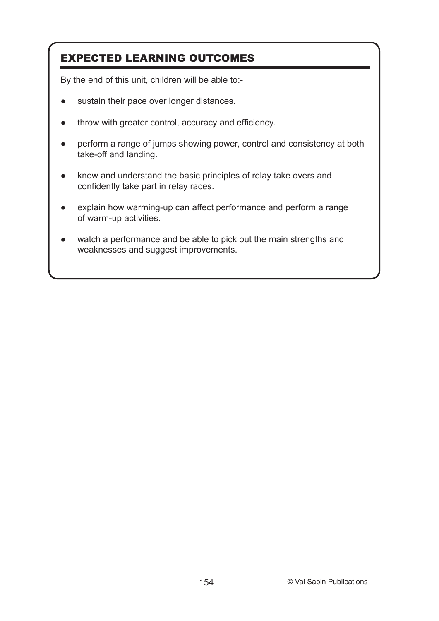#### EXPECTED LEARNING OUTCOMES

By the end of this unit, children will be able to:-

- sustain their pace over longer distances.
- throw with greater control, accuracy and efficiency.
- perform a range of jumps showing power, control and consistency at both take-off and landing.
- know and understand the basic principles of relay take overs and confidently take part in relay races.
- explain how warming-up can affect performance and perform a range of warm-up activities.
- watch a performance and be able to pick out the main strengths and weaknesses and suggest improvements.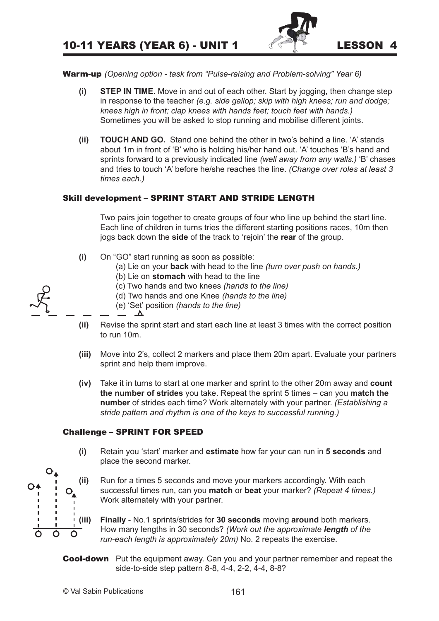

Warm-up *(Opening option - task from "Pulse-raising and Problem-solving" Year 6)*

- **(i) STEP IN TIME**. Move in and out of each other. Start by jogging, then change step in response to the teacher *(e.g. side gallop; skip with high knees; run and dodge; knees high in front; clap knees with hands feet; touch feet with hands.)*  Sometimes you will be asked to stop running and mobilise different joints.
- **(ii) TOUCH AND GO.** Stand one behind the other in two's behind a line. 'A' stands about 1m in front of 'B' who is holding his/her hand out. 'A' touches 'B's hand and sprints forward to a previously indicated line *(well away from any walls.)* 'B' chases and tries to touch 'A' before he/she reaches the line. *(Change over roles at least 3 times each.)*

#### Skill development – SPRINT START AND STRIDE LENGTH

Two pairs join together to create groups of four who line up behind the start line. Each line of children in turns tries the different starting positions races, 10m then jogs back down the **side** of the track to 'rejoin' the **rear** of the group.

- **(i)** On "GO" start running as soon as possible:
	- (a) Lie on your **back** with head to the line *(turn over push on hands.)*
	- (b) Lie on **stomach** with head to the line
	- (c) Two hands and two knees *(hands to the line)*
	- (d) Two hands and one Knee *(hands to the line)*
	- (e) 'Set' position *(hands to the line)*
- **(ii)** Revise the sprint start and start each line at least 3 times with the correct position to run 10m.
- **(iii)** Move into 2's, collect 2 markers and place them 20m apart. Evaluate your partners sprint and help them improve.
- **(iv)** Take it in turns to start at one marker and sprint to the other 20m away and **count the number of strides** you take. Repeat the sprint 5 times – can you **match the number** of strides each time? Work alternately with your partner. *(Establishing a stride pattern and rhythm is one of the keys to successful running.)*

#### Challenge – SPRINT FOR SPEED

- **(i)** Retain you 'start' marker and **estimate** how far your can run in **5 seconds** and place the second marker.
- **(ii)** Run for a times 5 seconds and move your markers accordingly. With each successful times run, can you **match** or **beat** your marker? *(Repeat 4 times.)*  Work alternately with your partner.
- **(iii) Finally** No.1 sprints/strides for **30 seconds** moving **around** both markers. How many lengths in 30 seconds? *(Work out the approximate length of the run-each length is approximately 20m)* No. 2 repeats the exercise.
- **Cool-down** Put the equipment away. Can you and your partner remember and repeat the side-to-side step pattern 8-8, 4-4, 2-2, 4-4, 8-8?

 $O_{\blacklozenge}$